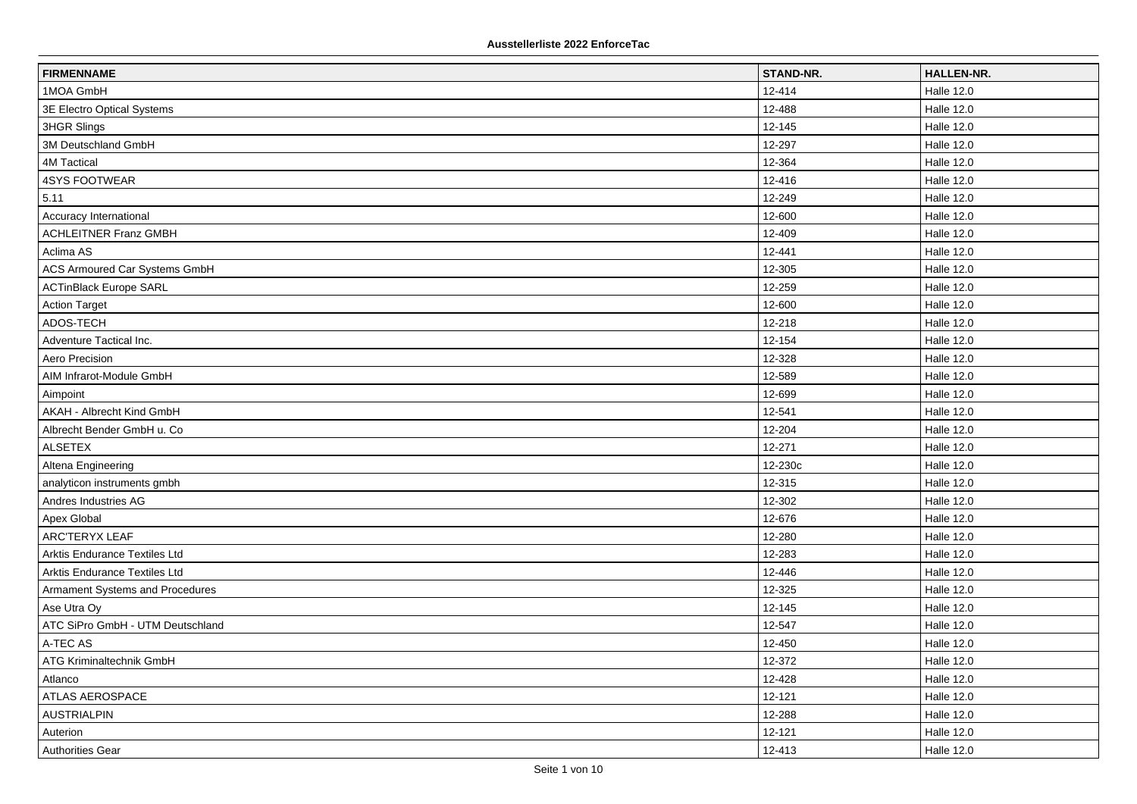| <b>FIRMENNAME</b>                    | STAND-NR. | <b>HALLEN-NR.</b> |
|--------------------------------------|-----------|-------------------|
| 1MOA GmbH                            | 12-414    | <b>Halle 12.0</b> |
| 3E Electro Optical Systems           | 12-488    | Halle 12.0        |
| 3HGR Slings                          | 12-145    | <b>Halle 12.0</b> |
| 3M Deutschland GmbH                  | 12-297    | <b>Halle 12.0</b> |
| <b>4M Tactical</b>                   | 12-364    | <b>Halle 12.0</b> |
| <b>4SYS FOOTWEAR</b>                 | 12-416    | Halle 12.0        |
| 5.11                                 | 12-249    | <b>Halle 12.0</b> |
| Accuracy International               | 12-600    | Halle 12.0        |
| <b>ACHLEITNER Franz GMBH</b>         | 12-409    | Halle 12.0        |
| Aclima AS                            | 12-441    | <b>Halle 12.0</b> |
| <b>ACS Armoured Car Systems GmbH</b> | 12-305    | <b>Halle 12.0</b> |
| <b>ACTinBlack Europe SARL</b>        | 12-259    | <b>Halle 12.0</b> |
| <b>Action Target</b>                 | 12-600    | <b>Halle 12.0</b> |
| ADOS-TECH                            | 12-218    | Halle 12.0        |
| Adventure Tactical Inc.              | 12-154    | Halle 12.0        |
| Aero Precision                       | 12-328    | <b>Halle 12.0</b> |
| AIM Infrarot-Module GmbH             | 12-589    | Halle 12.0        |
| Aimpoint                             | 12-699    | <b>Halle 12.0</b> |
| AKAH - Albrecht Kind GmbH            | 12-541    | Halle 12.0        |
| Albrecht Bender GmbH u. Co           | 12-204    | <b>Halle 12.0</b> |
| <b>ALSETEX</b>                       | 12-271    | <b>Halle 12.0</b> |
| Altena Engineering                   | 12-230c   | Halle 12.0        |
| analyticon instruments gmbh          | 12-315    | <b>Halle 12.0</b> |
| Andres Industries AG                 | 12-302    | <b>Halle 12.0</b> |
| Apex Global                          | 12-676    | Halle 12.0        |
| <b>ARC'TERYX LEAF</b>                | 12-280    | <b>Halle 12.0</b> |
| Arktis Endurance Textiles Ltd        | 12-283    | Halle 12.0        |
| Arktis Endurance Textiles Ltd        | 12-446    | <b>Halle 12.0</b> |
| Armament Systems and Procedures      | 12-325    | <b>Halle 12.0</b> |
| Ase Utra Oy                          | 12-145    | Halle 12.0        |
| ATC SiPro GmbH - UTM Deutschland     | 12-547    | <b>Halle 12.0</b> |
| A-TEC AS                             | 12-450    | Halle 12.0        |
| ATG Kriminaltechnik GmbH             | 12-372    | <b>Halle 12.0</b> |
| Atlanco                              | 12-428    | Halle 12.0        |
| ATLAS AEROSPACE                      | 12-121    | Halle 12.0        |
| <b>AUSTRIALPIN</b>                   | 12-288    | <b>Halle 12.0</b> |
| Auterion                             | 12-121    | Halle 12.0        |
| Authorities Gear                     | 12-413    | <b>Halle 12.0</b> |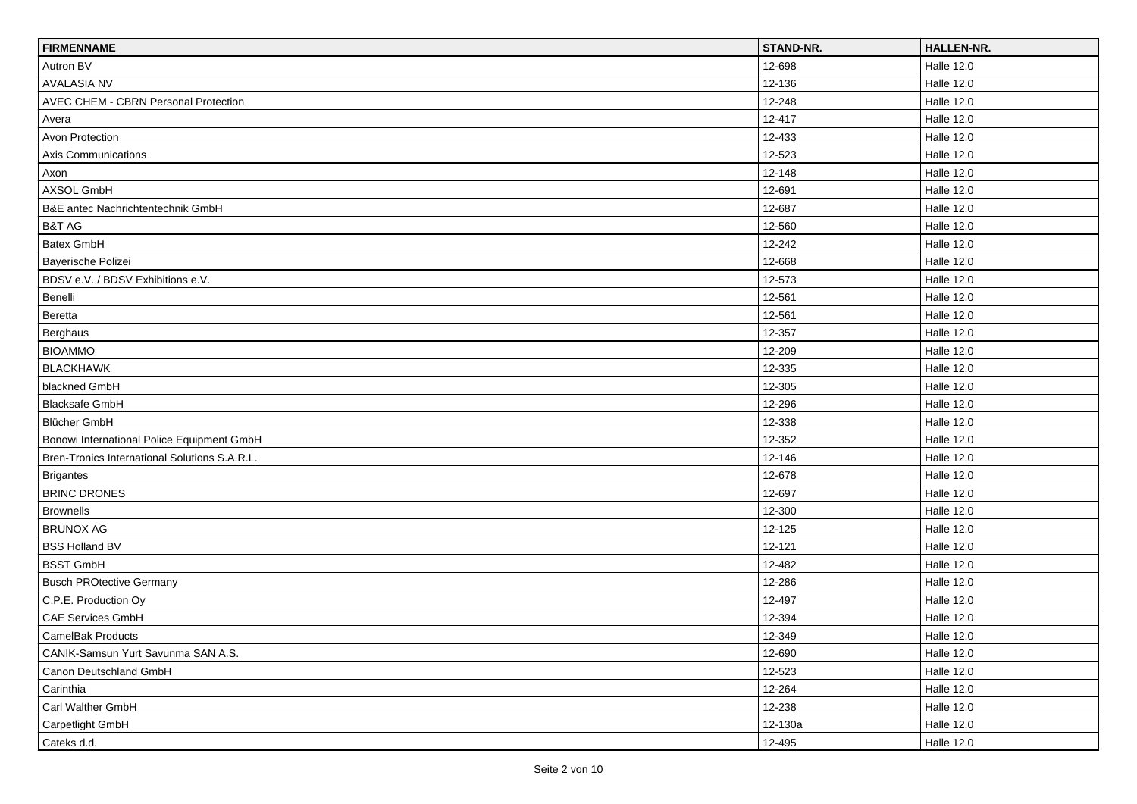| <b>FIRMENNAME</b>                             | STAND-NR. | <b>HALLEN-NR.</b> |
|-----------------------------------------------|-----------|-------------------|
| Autron BV                                     | 12-698    | <b>Halle 12.0</b> |
| <b>AVALASIA NV</b>                            | 12-136    | <b>Halle 12.0</b> |
| AVEC CHEM - CBRN Personal Protection          | 12-248    | <b>Halle 12.0</b> |
| Avera                                         | 12-417    | <b>Halle 12.0</b> |
| <b>Avon Protection</b>                        | 12-433    | <b>Halle 12.0</b> |
| Axis Communications                           | 12-523    | <b>Halle 12.0</b> |
| Axon                                          | 12-148    | <b>Halle 12.0</b> |
| AXSOL GmbH                                    | 12-691    | <b>Halle 12.0</b> |
| B&E antec Nachrichtentechnik GmbH             | 12-687    | <b>Halle 12.0</b> |
| B&T AG                                        | 12-560    | <b>Halle 12.0</b> |
| Batex GmbH                                    | 12-242    | <b>Halle 12.0</b> |
| Bayerische Polizei                            | 12-668    | <b>Halle 12.0</b> |
| BDSV e.V. / BDSV Exhibitions e.V.             | 12-573    | <b>Halle 12.0</b> |
| Benelli                                       | 12-561    | <b>Halle 12.0</b> |
| Beretta                                       | 12-561    | <b>Halle 12.0</b> |
| Berghaus                                      | 12-357    | <b>Halle 12.0</b> |
| <b>BIOAMMO</b>                                | 12-209    | <b>Halle 12.0</b> |
| <b>BLACKHAWK</b>                              | 12-335    | <b>Halle 12.0</b> |
| blackned GmbH                                 | 12-305    | <b>Halle 12.0</b> |
| <b>Blacksafe GmbH</b>                         | 12-296    | Halle 12.0        |
| <b>Blücher GmbH</b>                           | 12-338    | <b>Halle 12.0</b> |
| Bonowi International Police Equipment GmbH    | 12-352    | <b>Halle 12.0</b> |
| Bren-Tronics International Solutions S.A.R.L. | 12-146    | <b>Halle 12.0</b> |
| <b>Brigantes</b>                              | 12-678    | <b>Halle 12.0</b> |
| <b>BRINC DRONES</b>                           | 12-697    | <b>Halle 12.0</b> |
| <b>Brownells</b>                              | 12-300    | <b>Halle 12.0</b> |
| <b>BRUNOX AG</b>                              | 12-125    | <b>Halle 12.0</b> |
| <b>BSS Holland BV</b>                         | 12-121    | <b>Halle 12.0</b> |
| <b>BSST GmbH</b>                              | 12-482    | <b>Halle 12.0</b> |
| <b>Busch PROtective Germany</b>               | 12-286    | <b>Halle 12.0</b> |
| C.P.E. Production Oy                          | 12-497    | Halle 12.0        |
| CAE Services GmbH                             | 12-394    | <b>Halle 12.0</b> |
| CamelBak Products                             | 12-349    | Halle 12.0        |
| CANIK-Samsun Yurt Savunma SAN A.S.            | 12-690    | Halle 12.0        |
| Canon Deutschland GmbH                        | 12-523    | <b>Halle 12.0</b> |
| Carinthia                                     | 12-264    | Halle 12.0        |
| Carl Walther GmbH                             | 12-238    | <b>Halle 12.0</b> |
| Carpetlight GmbH                              | 12-130a   | Halle 12.0        |
| Cateks d.d.                                   | 12-495    | <b>Halle 12.0</b> |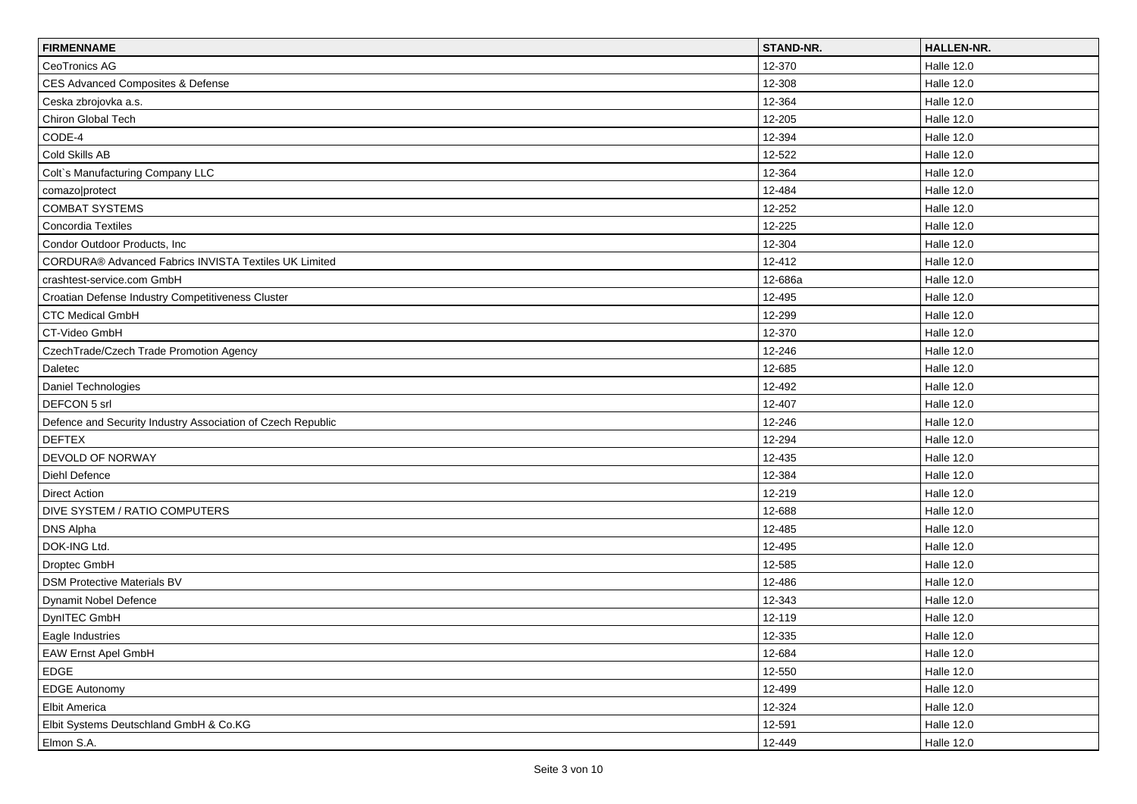| <b>FIRMENNAME</b>                                           | STAND-NR. | <b>HALLEN-NR.</b> |
|-------------------------------------------------------------|-----------|-------------------|
| CeoTronics AG                                               | 12-370    | <b>Halle 12.0</b> |
| CES Advanced Composites & Defense                           | 12-308    | <b>Halle 12.0</b> |
| Ceska zbrojovka a.s.                                        | 12-364    | <b>Halle 12.0</b> |
| Chiron Global Tech                                          | 12-205    | <b>Halle 12.0</b> |
| CODE-4                                                      | 12-394    | <b>Halle 12.0</b> |
| Cold Skills AB                                              | 12-522    | Halle 12.0        |
| Colt's Manufacturing Company LLC                            | 12-364    | <b>Halle 12.0</b> |
| comazo protect                                              | 12-484    | <b>Halle 12.0</b> |
| <b>COMBAT SYSTEMS</b>                                       | 12-252    | <b>Halle 12.0</b> |
| Concordia Textiles                                          | 12-225    | <b>Halle 12.0</b> |
| Condor Outdoor Products, Inc.                               | 12-304    | <b>Halle 12.0</b> |
| CORDURA® Advanced Fabrics INVISTA Textiles UK Limited       | 12-412    | <b>Halle 12.0</b> |
| crashtest-service.com GmbH                                  | 12-686a   | <b>Halle 12.0</b> |
| Croatian Defense Industry Competitiveness Cluster           | 12-495    | <b>Halle 12.0</b> |
| <b>CTC Medical GmbH</b>                                     | 12-299    | <b>Halle 12.0</b> |
| CT-Video GmbH                                               | 12-370    | Halle 12.0        |
| CzechTrade/Czech Trade Promotion Agency                     | 12-246    | <b>Halle 12.0</b> |
| Daletec                                                     | 12-685    | <b>Halle 12.0</b> |
| Daniel Technologies                                         | 12-492    | <b>Halle 12.0</b> |
| DEFCON 5 srl                                                | 12-407    | <b>Halle 12.0</b> |
| Defence and Security Industry Association of Czech Republic | 12-246    | <b>Halle 12.0</b> |
| <b>DEFTEX</b>                                               | 12-294    | <b>Halle 12.0</b> |
| DEVOLD OF NORWAY                                            | 12-435    | <b>Halle 12.0</b> |
| Diehl Defence                                               | 12-384    | <b>Halle 12.0</b> |
| <b>Direct Action</b>                                        | 12-219    | <b>Halle 12.0</b> |
| DIVE SYSTEM / RATIO COMPUTERS                               | 12-688    | <b>Halle 12.0</b> |
| <b>DNS Alpha</b>                                            | 12-485    | <b>Halle 12.0</b> |
| DOK-ING Ltd.                                                | 12-495    | <b>Halle 12.0</b> |
| Droptec GmbH                                                | 12-585    | <b>Halle 12.0</b> |
| <b>DSM Protective Materials BV</b>                          | 12-486    | <b>Halle 12.0</b> |
| Dynamit Nobel Defence                                       | 12-343    | <b>Halle 12.0</b> |
| DynITEC GmbH                                                | 12-119    | <b>Halle 12.0</b> |
| Eagle Industries                                            | 12-335    | Halle 12.0        |
| <b>EAW Ernst Apel GmbH</b>                                  | 12-684    | Halle 12.0        |
| <b>EDGE</b>                                                 | 12-550    | <b>Halle 12.0</b> |
| <b>EDGE Autonomy</b>                                        | 12-499    | <b>Halle 12.0</b> |
| Elbit America                                               | 12-324    | <b>Halle 12.0</b> |
| Elbit Systems Deutschland GmbH & Co.KG                      | 12-591    | Halle 12.0        |
| Elmon S.A.                                                  | 12-449    | <b>Halle 12.0</b> |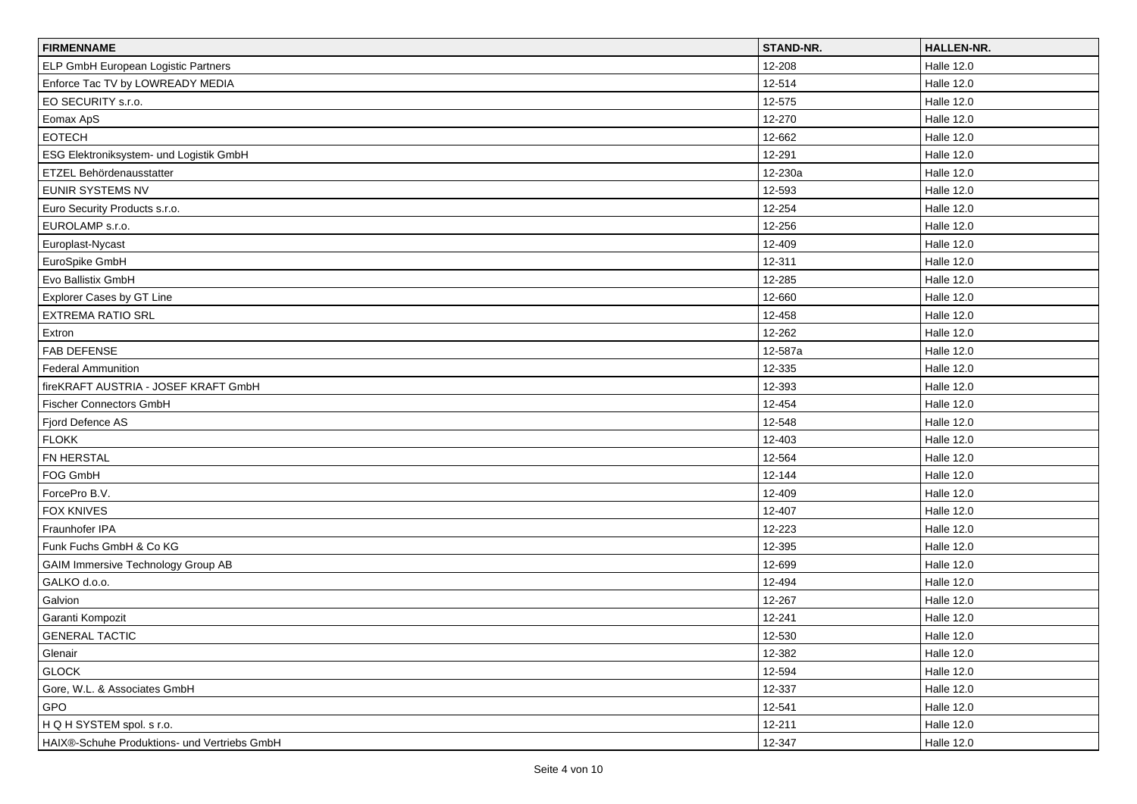| <b>FIRMENNAME</b>                            | STAND-NR. | <b>HALLEN-NR.</b> |
|----------------------------------------------|-----------|-------------------|
| ELP GmbH European Logistic Partners          | 12-208    | <b>Halle 12.0</b> |
| Enforce Tac TV by LOWREADY MEDIA             | 12-514    | <b>Halle 12.0</b> |
| EO SECURITY s.r.o.                           | 12-575    | <b>Halle 12.0</b> |
| Eomax ApS                                    | 12-270    | <b>Halle 12.0</b> |
| <b>EOTECH</b>                                | 12-662    | <b>Halle 12.0</b> |
| ESG Elektroniksystem- und Logistik GmbH      | 12-291    | <b>Halle 12.0</b> |
| ETZEL Behördenausstatter                     | 12-230a   | <b>Halle 12.0</b> |
| EUNIR SYSTEMS NV                             | 12-593    | <b>Halle 12.0</b> |
| Euro Security Products s.r.o.                | 12-254    | <b>Halle 12.0</b> |
| EUROLAMP s.r.o.                              | 12-256    | <b>Halle 12.0</b> |
| Europlast-Nycast                             | 12-409    | <b>Halle 12.0</b> |
| EuroSpike GmbH                               | 12-311    | <b>Halle 12.0</b> |
| Evo Ballistix GmbH                           | 12-285    | <b>Halle 12.0</b> |
| Explorer Cases by GT Line                    | 12-660    | <b>Halle 12.0</b> |
| <b>EXTREMA RATIO SRL</b>                     | 12-458    | <b>Halle 12.0</b> |
| Extron                                       | 12-262    | <b>Halle 12.0</b> |
| <b>FAB DEFENSE</b>                           | 12-587a   | <b>Halle 12.0</b> |
| <b>Federal Ammunition</b>                    | 12-335    | <b>Halle 12.0</b> |
| fireKRAFT AUSTRIA - JOSEF KRAFT GmbH         | 12-393    | <b>Halle 12.0</b> |
| Fischer Connectors GmbH                      | 12-454    | <b>Halle 12.0</b> |
| Fjord Defence AS                             | 12-548    | <b>Halle 12.0</b> |
| <b>FLOKK</b>                                 | 12-403    | <b>Halle 12.0</b> |
| FN HERSTAL                                   | 12-564    | <b>Halle 12.0</b> |
| FOG GmbH                                     | 12-144    | <b>Halle 12.0</b> |
| ForcePro B.V.                                | 12-409    | <b>Halle 12.0</b> |
| <b>FOX KNIVES</b>                            | 12-407    | <b>Halle 12.0</b> |
| Fraunhofer IPA                               | 12-223    | <b>Halle 12.0</b> |
| Funk Fuchs GmbH & Co KG                      | 12-395    | <b>Halle 12.0</b> |
| <b>GAIM Immersive Technology Group AB</b>    | 12-699    | <b>Halle 12.0</b> |
| GALKO d.o.o.                                 | 12-494    | <b>Halle 12.0</b> |
| Galvion                                      | 12-267    | Halle 12.0        |
| Garanti Kompozit                             | 12-241    | <b>Halle 12.0</b> |
| <b>GENERAL TACTIC</b>                        | 12-530    | Halle 12.0        |
| Glenair                                      | 12-382    | <b>Halle 12.0</b> |
| <b>GLOCK</b>                                 | 12-594    | <b>Halle 12.0</b> |
| Gore, W.L. & Associates GmbH                 | 12-337    | <b>Halle 12.0</b> |
| GPO                                          | 12-541    | <b>Halle 12.0</b> |
| HQH SYSTEM spol. s r.o.                      | 12-211    | Halle 12.0        |
| HAIX®-Schuhe Produktions- und Vertriebs GmbH | 12-347    | Halle 12.0        |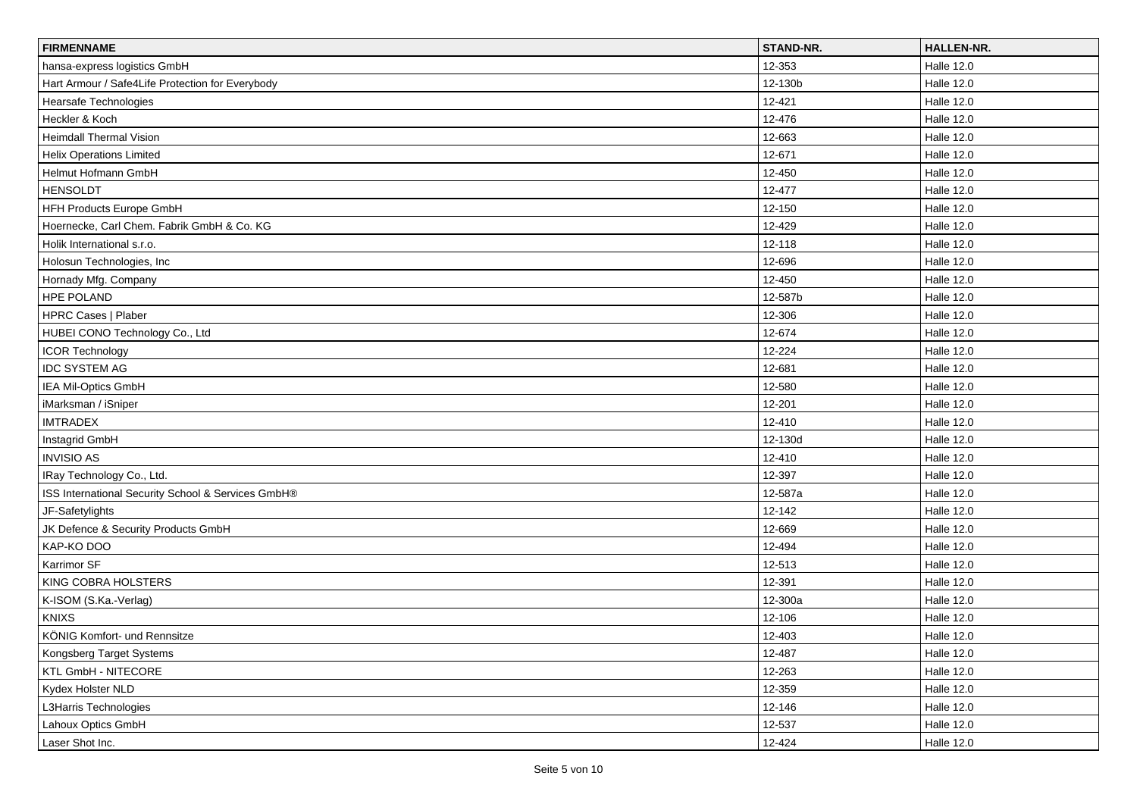| <b>FIRMENNAME</b>                                  | STAND-NR. | <b>HALLEN-NR.</b> |
|----------------------------------------------------|-----------|-------------------|
| hansa-express logistics GmbH                       | 12-353    | <b>Halle 12.0</b> |
| Hart Armour / Safe4Life Protection for Everybody   | 12-130b   | <b>Halle 12.0</b> |
| Hearsafe Technologies                              | 12-421    | Halle 12.0        |
| Heckler & Koch                                     | 12-476    | <b>Halle 12.0</b> |
| <b>Heimdall Thermal Vision</b>                     | 12-663    | <b>Halle 12.0</b> |
| <b>Helix Operations Limited</b>                    | 12-671    | <b>Halle 12.0</b> |
| Helmut Hofmann GmbH                                | 12-450    | <b>Halle 12.0</b> |
| <b>HENSOLDT</b>                                    | 12-477    | Halle 12.0        |
| HFH Products Europe GmbH                           | 12-150    | <b>Halle 12.0</b> |
| Hoernecke, Carl Chem. Fabrik GmbH & Co. KG         | 12-429    | <b>Halle 12.0</b> |
| Holik International s.r.o.                         | 12-118    | <b>Halle 12.0</b> |
| Holosun Technologies, Inc                          | 12-696    | <b>Halle 12.0</b> |
| Hornady Mfg. Company                               | 12-450    | Halle 12.0        |
| <b>HPE POLAND</b>                                  | 12-587b   | <b>Halle 12.0</b> |
| HPRC Cases   Plaber                                | 12-306    | <b>Halle 12.0</b> |
| HUBEI CONO Technology Co., Ltd                     | 12-674    | <b>Halle 12.0</b> |
| <b>ICOR Technology</b>                             | 12-224    | <b>Halle 12.0</b> |
| <b>IDC SYSTEM AG</b>                               | 12-681    | Halle 12.0        |
| IEA Mil-Optics GmbH                                | 12-580    | Halle 12.0        |
| iMarksman / iSniper                                | 12-201    | <b>Halle 12.0</b> |
| <b>IMTRADEX</b>                                    | 12-410    | <b>Halle 12.0</b> |
| Instagrid GmbH                                     | 12-130d   | <b>Halle 12.0</b> |
| <b>INVISIO AS</b>                                  | 12-410    | Halle 12.0        |
| IRay Technology Co., Ltd.                          | 12-397    | Halle 12.0        |
| ISS International Security School & Services GmbH® | 12-587a   | <b>Halle 12.0</b> |
| JF-Safetylights                                    | 12-142    | <b>Halle 12.0</b> |
| JK Defence & Security Products GmbH                | 12-669    | <b>Halle 12.0</b> |
| KAP-KO DOO                                         | 12-494    | Halle 12.0        |
| Karrimor SF                                        | 12-513    | <b>Halle 12.0</b> |
| KING COBRA HOLSTERS                                | 12-391    | <b>Halle 12.0</b> |
| K-ISOM (S.Ka.-Verlag)                              | 12-300a   | <b>Halle 12.0</b> |
| <b>KNIXS</b>                                       | 12-106    | Halle 12.0        |
| KÖNIG Komfort- und Rennsitze                       | 12-403    | Halle 12.0        |
| Kongsberg Target Systems                           | 12-487    | <b>Halle 12.0</b> |
| KTL GmbH - NITECORE                                | 12-263    | <b>Halle 12.0</b> |
| Kydex Holster NLD                                  | 12-359    | <b>Halle 12.0</b> |
| L3Harris Technologies                              | 12-146    | <b>Halle 12.0</b> |
| Lahoux Optics GmbH                                 | 12-537    | <b>Halle 12.0</b> |
| Laser Shot Inc.                                    | 12-424    | <b>Halle 12.0</b> |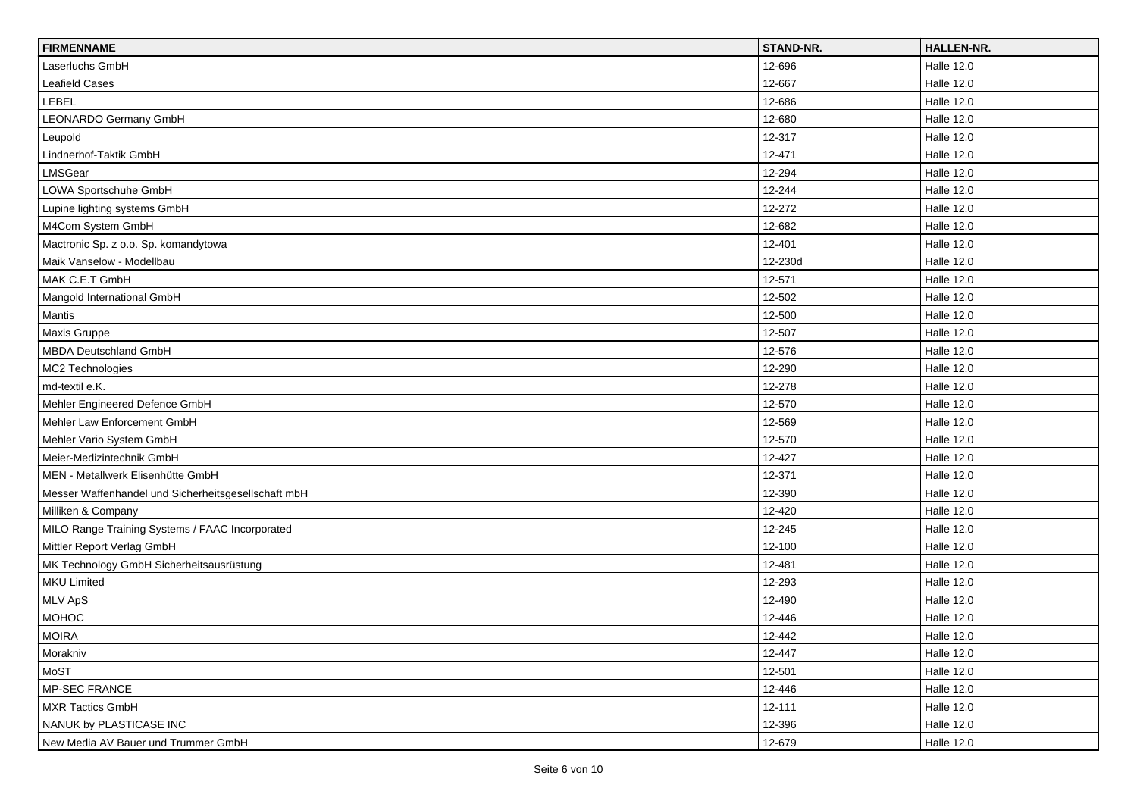| <b>FIRMENNAME</b>                                   | STAND-NR. | HALLEN-NR.        |
|-----------------------------------------------------|-----------|-------------------|
| Laserluchs GmbH                                     | 12-696    | <b>Halle 12.0</b> |
| <b>Leafield Cases</b>                               | 12-667    | <b>Halle 12.0</b> |
| LEBEL                                               | 12-686    | Halle 12.0        |
| LEONARDO Germany GmbH                               | 12-680    | Halle 12.0        |
| Leupold                                             | 12-317    | <b>Halle 12.0</b> |
| Lindnerhof-Taktik GmbH                              | 12-471    | <b>Halle 12.0</b> |
| LMSGear                                             | 12-294    | <b>Halle 12.0</b> |
| LOWA Sportschuhe GmbH                               | 12-244    | <b>Halle 12.0</b> |
| Lupine lighting systems GmbH                        | 12-272    | <b>Halle 12.0</b> |
| M4Com System GmbH                                   | 12-682    | <b>Halle 12.0</b> |
| Mactronic Sp. z o.o. Sp. komandytowa                | 12-401    | <b>Halle 12.0</b> |
| Maik Vanselow - Modellbau                           | 12-230d   | <b>Halle 12.0</b> |
| MAK C.E.T GmbH                                      | 12-571    | Halle 12.0        |
| Mangold International GmbH                          | 12-502    | Halle 12.0        |
| Mantis                                              | 12-500    | <b>Halle 12.0</b> |
| Maxis Gruppe                                        | 12-507    | <b>Halle 12.0</b> |
| <b>MBDA Deutschland GmbH</b>                        | 12-576    | <b>Halle 12.0</b> |
| MC2 Technologies                                    | 12-290    | Halle 12.0        |
| md-textil e.K.                                      | 12-278    | Halle 12.0        |
| Mehler Engineered Defence GmbH                      | 12-570    | <b>Halle 12.0</b> |
| Mehler Law Enforcement GmbH                         | 12-569    | <b>Halle 12.0</b> |
| Mehler Vario System GmbH                            | 12-570    | <b>Halle 12.0</b> |
| Meier-Medizintechnik GmbH                           | 12-427    | Halle 12.0        |
| MEN - Metallwerk Elisenhütte GmbH                   | 12-371    | Halle 12.0        |
| Messer Waffenhandel und Sicherheitsgesellschaft mbH | 12-390    | <b>Halle 12.0</b> |
| Milliken & Company                                  | 12-420    | <b>Halle 12.0</b> |
| MILO Range Training Systems / FAAC Incorporated     | 12-245    | <b>Halle 12.0</b> |
| Mittler Report Verlag GmbH                          | 12-100    | Halle 12.0        |
| MK Technology GmbH Sicherheitsausrüstung            | 12-481    | <b>Halle 12.0</b> |
| <b>MKU Limited</b>                                  | 12-293    | <b>Halle 12.0</b> |
| MLV ApS                                             | 12-490    | <b>Halle 12.0</b> |
| <b>MOHOC</b>                                        | 12-446    | <b>Halle 12.0</b> |
| MOIRA                                               | 12-442    | Halle 12.0        |
| Morakniv                                            | 12-447    | <b>Halle 12.0</b> |
| MoST                                                | 12-501    | <b>Halle 12.0</b> |
| MP-SEC FRANCE                                       | 12-446    | <b>Halle 12.0</b> |
| MXR Tactics GmbH                                    | 12-111    | <b>Halle 12.0</b> |
| NANUK by PLASTICASE INC                             | 12-396    | <b>Halle 12.0</b> |
| New Media AV Bauer und Trummer GmbH                 | 12-679    | <b>Halle 12.0</b> |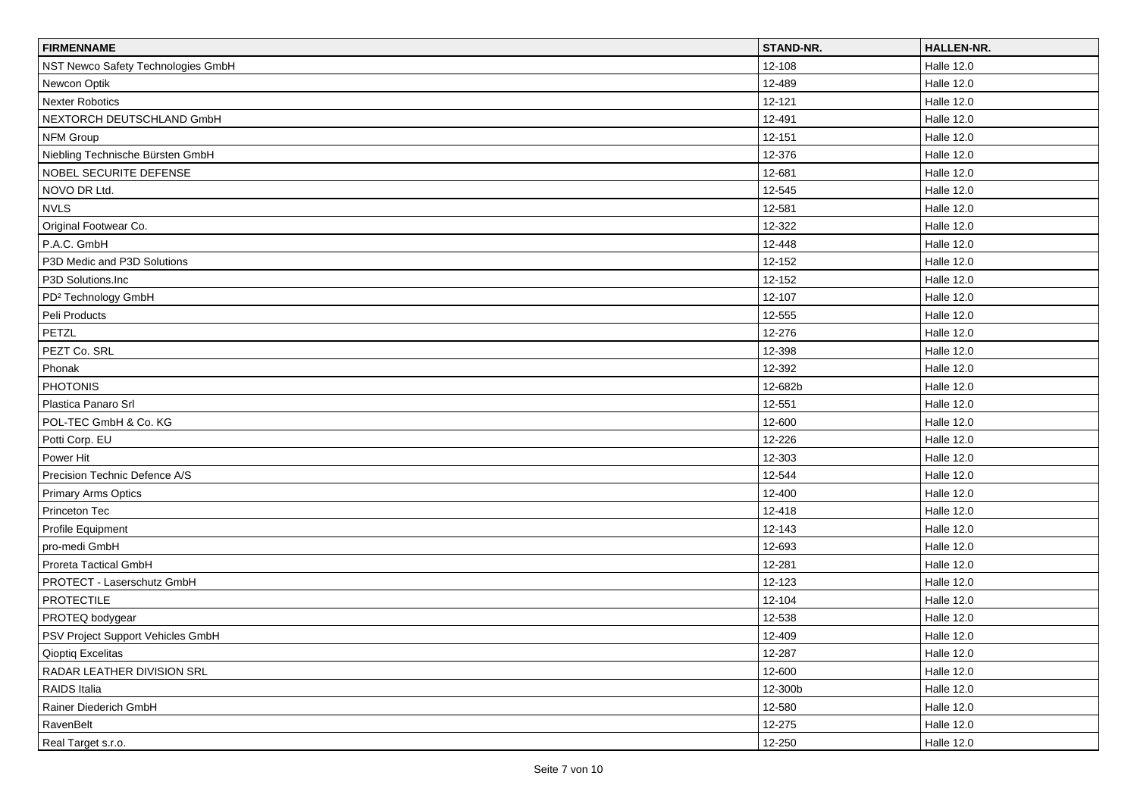| <b>FIRMENNAME</b>                  | STAND-NR. | <b>HALLEN-NR.</b> |
|------------------------------------|-----------|-------------------|
| NST Newco Safety Technologies GmbH | 12-108    | <b>Halle 12.0</b> |
| Newcon Optik                       | 12-489    | <b>Halle 12.0</b> |
| Nexter Robotics                    | 12-121    | <b>Halle 12.0</b> |
| NEXTORCH DEUTSCHLAND GmbH          | 12-491    | <b>Halle 12.0</b> |
| NFM Group                          | 12-151    | <b>Halle 12.0</b> |
| Niebling Technische Bürsten GmbH   | 12-376    | <b>Halle 12.0</b> |
| NOBEL SECURITE DEFENSE             | 12-681    | <b>Halle 12.0</b> |
| NOVO DR Ltd.                       | 12-545    | <b>Halle 12.0</b> |
| <b>NVLS</b>                        | 12-581    | <b>Halle 12.0</b> |
| Original Footwear Co.              | 12-322    | <b>Halle 12.0</b> |
| P.A.C. GmbH                        | 12-448    | <b>Halle 12.0</b> |
| P3D Medic and P3D Solutions        | 12-152    | <b>Halle 12.0</b> |
| P3D Solutions.Inc                  | 12-152    | Halle 12.0        |
| PD <sup>2</sup> Technology GmbH    | 12-107    | Halle 12.0        |
| Peli Products                      | 12-555    | <b>Halle 12.0</b> |
| PETZL                              | 12-276    | <b>Halle 12.0</b> |
| PEZT Co. SRL                       | 12-398    | <b>Halle 12.0</b> |
| Phonak                             | 12-392    | <b>Halle 12.0</b> |
| <b>PHOTONIS</b>                    | 12-682b   | <b>Halle 12.0</b> |
| Plastica Panaro Srl                | 12-551    | <b>Halle 12.0</b> |
| POL-TEC GmbH & Co. KG              | 12-600    | <b>Halle 12.0</b> |
| Potti Corp. EU                     | 12-226    | <b>Halle 12.0</b> |
| Power Hit                          | 12-303    | Halle 12.0        |
| Precision Technic Defence A/S      | 12-544    | <b>Halle 12.0</b> |
| <b>Primary Arms Optics</b>         | 12-400    | <b>Halle 12.0</b> |
| Princeton Tec                      | 12-418    | <b>Halle 12.0</b> |
| Profile Equipment                  | 12-143    | <b>Halle 12.0</b> |
| pro-medi GmbH                      | 12-693    | <b>Halle 12.0</b> |
| Proreta Tactical GmbH              | 12-281    | <b>Halle 12.0</b> |
| PROTECT - Laserschutz GmbH         | 12-123    | <b>Halle 12.0</b> |
| <b>PROTECTILE</b>                  | 12-104    | <b>Halle 12.0</b> |
| PROTEQ bodygear                    | 12-538    | Halle 12.0        |
| PSV Project Support Vehicles GmbH  | 12-409    | Halle 12.0        |
| <b>Qioptiq Excelitas</b>           | 12-287    | <b>Halle 12.0</b> |
| RADAR LEATHER DIVISION SRL         | 12-600    | <b>Halle 12.0</b> |
| RAIDS Italia                       | 12-300b   | <b>Halle 12.0</b> |
| Rainer Diederich GmbH              | 12-580    | <b>Halle 12.0</b> |
| RavenBelt                          | 12-275    | <b>Halle 12.0</b> |
| Real Target s.r.o.                 | 12-250    | <b>Halle 12.0</b> |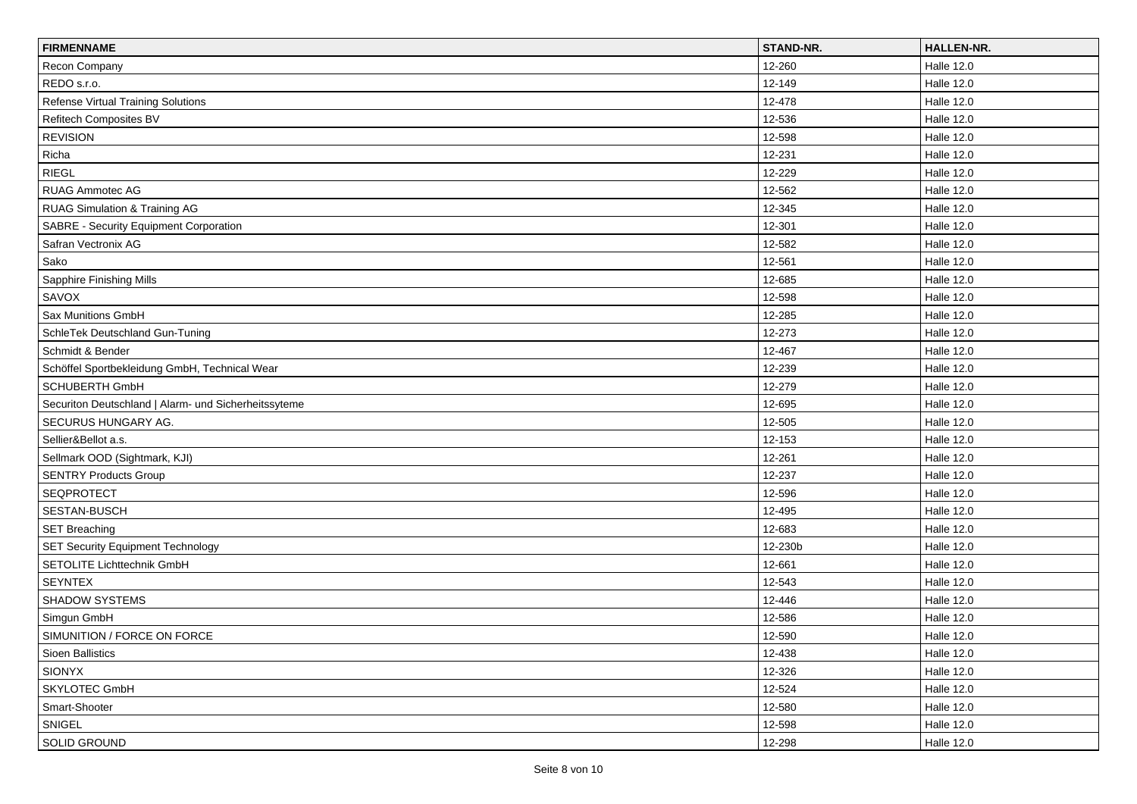| <b>FIRMENNAME</b>                                    | STAND-NR. | HALLEN-NR.        |
|------------------------------------------------------|-----------|-------------------|
| Recon Company                                        | 12-260    | <b>Halle 12.0</b> |
| REDO s.r.o.                                          | 12-149    | <b>Halle 12.0</b> |
| Refense Virtual Training Solutions                   | 12-478    | <b>Halle 12.0</b> |
| Refitech Composites BV                               | 12-536    | <b>Halle 12.0</b> |
| <b>REVISION</b>                                      | 12-598    | <b>Halle 12.0</b> |
| Richa                                                | 12-231    | <b>Halle 12.0</b> |
| <b>RIEGL</b>                                         | 12-229    | <b>Halle 12.0</b> |
| <b>RUAG Ammotec AG</b>                               | 12-562    | <b>Halle 12.0</b> |
| RUAG Simulation & Training AG                        | 12-345    | <b>Halle 12.0</b> |
| <b>SABRE - Security Equipment Corporation</b>        | 12-301    | <b>Halle 12.0</b> |
| Safran Vectronix AG                                  | 12-582    | <b>Halle 12.0</b> |
| Sako                                                 | 12-561    | <b>Halle 12.0</b> |
| Sapphire Finishing Mills                             | 12-685    | <b>Halle 12.0</b> |
| SAVOX                                                | 12-598    | <b>Halle 12.0</b> |
| Sax Munitions GmbH                                   | 12-285    | <b>Halle 12.0</b> |
| SchleTek Deutschland Gun-Tuning                      | 12-273    | <b>Halle 12.0</b> |
| Schmidt & Bender                                     | 12-467    | <b>Halle 12.0</b> |
| Schöffel Sportbekleidung GmbH, Technical Wear        | 12-239    | <b>Halle 12.0</b> |
| SCHUBERTH GmbH                                       | 12-279    | <b>Halle 12.0</b> |
| Securiton Deutschland   Alarm- und Sicherheitssyteme | 12-695    | <b>Halle 12.0</b> |
| SECURUS HUNGARY AG.                                  | 12-505    | <b>Halle 12.0</b> |
| Sellier&Bellot a.s.                                  | 12-153    | <b>Halle 12.0</b> |
| Sellmark OOD (Sightmark, KJI)                        | 12-261    | <b>Halle 12.0</b> |
| <b>SENTRY Products Group</b>                         | 12-237    | <b>Halle 12.0</b> |
| <b>SEQPROTECT</b>                                    | 12-596    | <b>Halle 12.0</b> |
| SESTAN-BUSCH                                         | 12-495    | <b>Halle 12.0</b> |
| <b>SET Breaching</b>                                 | 12-683    | <b>Halle 12.0</b> |
| <b>SET Security Equipment Technology</b>             | 12-230b   | <b>Halle 12.0</b> |
| SETOLITE Lichttechnik GmbH                           | 12-661    | <b>Halle 12.0</b> |
| <b>SEYNTEX</b>                                       | 12-543    | <b>Halle 12.0</b> |
| <b>SHADOW SYSTEMS</b>                                | 12-446    | <b>Halle 12.0</b> |
| Simgun GmbH                                          | 12-586    | <b>Halle 12.0</b> |
| SIMUNITION / FORCE ON FORCE                          | 12-590    | Halle 12.0        |
| Sioen Ballistics                                     | 12-438    | <b>Halle 12.0</b> |
| SIONYX                                               | 12-326    | <b>Halle 12.0</b> |
| SKYLOTEC GmbH                                        | 12-524    | <b>Halle 12.0</b> |
| Smart-Shooter                                        | 12-580    | <b>Halle 12.0</b> |
| SNIGEL                                               | 12-598    | Halle 12.0        |
| SOLID GROUND                                         | 12-298    | Halle 12.0        |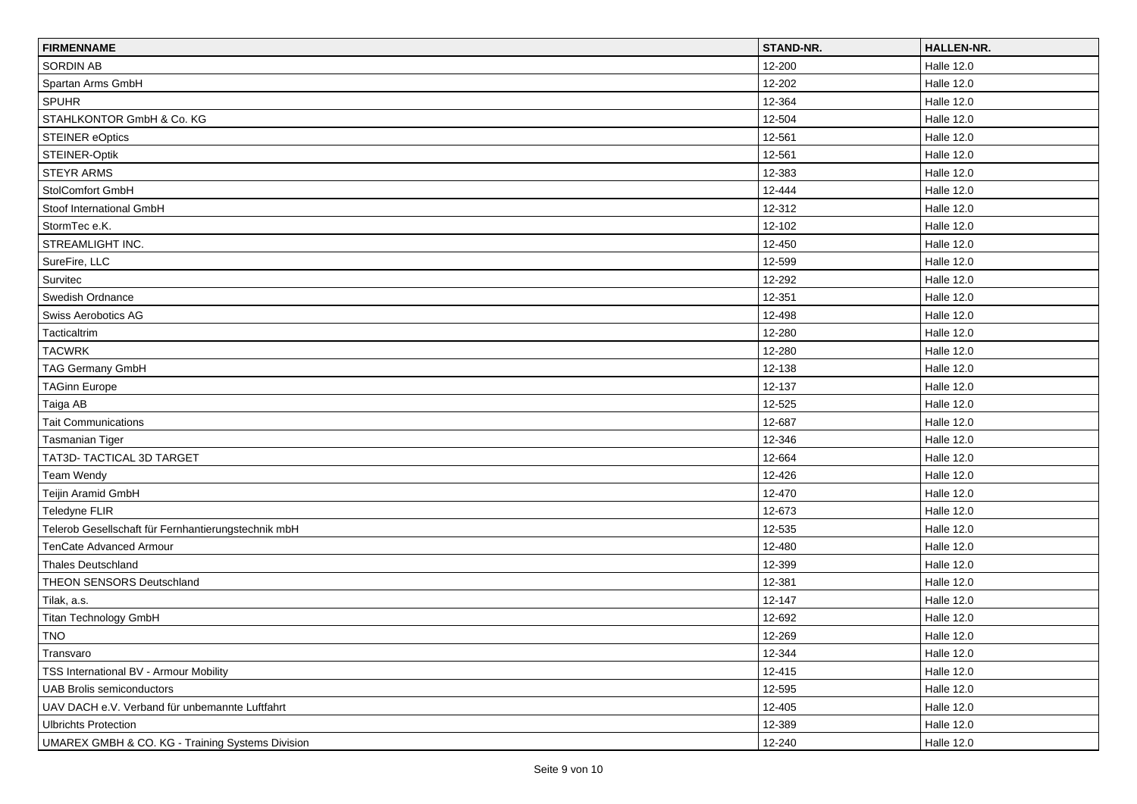| <b>FIRMENNAME</b>                                   | <b>STAND-NR.</b> | HALLEN-NR.        |
|-----------------------------------------------------|------------------|-------------------|
| <b>SORDIN AB</b>                                    | 12-200           | Halle 12.0        |
| Spartan Arms GmbH                                   | 12-202           | <b>Halle 12.0</b> |
| <b>SPUHR</b>                                        | 12-364           | Halle 12.0        |
| STAHLKONTOR GmbH & Co. KG                           | 12-504           | <b>Halle 12.0</b> |
| <b>STEINER eOptics</b>                              | 12-561           | <b>Halle 12.0</b> |
| STEINER-Optik                                       | 12-561           | <b>Halle 12.0</b> |
| <b>STEYR ARMS</b>                                   | 12-383           | <b>Halle 12.0</b> |
| <b>StolComfort GmbH</b>                             | 12-444           | <b>Halle 12.0</b> |
| Stoof International GmbH                            | 12-312           | <b>Halle 12.0</b> |
| StormTec e.K.                                       | 12-102           | <b>Halle 12.0</b> |
| STREAMLIGHT INC.                                    | 12-450           | <b>Halle 12.0</b> |
| SureFire, LLC                                       | 12-599           | <b>Halle 12.0</b> |
| Survitec                                            | 12-292           | Halle 12.0        |
| Swedish Ordnance                                    | 12-351           | Halle 12.0        |
| Swiss Aerobotics AG                                 | 12-498           | <b>Halle 12.0</b> |
| Tacticaltrim                                        | 12-280           | <b>Halle 12.0</b> |
| <b>TACWRK</b>                                       | 12-280           | <b>Halle 12.0</b> |
| TAG Germany GmbH                                    | 12-138           | <b>Halle 12.0</b> |
| <b>TAGinn Europe</b>                                | 12-137           | Halle 12.0        |
| Taiga AB                                            | 12-525           | <b>Halle 12.0</b> |
| <b>Tait Communications</b>                          | 12-687           | <b>Halle 12.0</b> |
| <b>Tasmanian Tiger</b>                              | 12-346           | <b>Halle 12.0</b> |
| TAT3D- TACTICAL 3D TARGET                           | 12-664           | Halle 12.0        |
| Team Wendy                                          | 12-426           | <b>Halle 12.0</b> |
| Teijin Aramid GmbH                                  | 12-470           | Halle 12.0        |
| Teledyne FLIR                                       | 12-673           | <b>Halle 12.0</b> |
| Telerob Gesellschaft für Fernhantierungstechnik mbH | 12-535           | <b>Halle 12.0</b> |
| TenCate Advanced Armour                             | 12-480           | Halle 12.0        |
| <b>Thales Deutschland</b>                           | 12-399           | <b>Halle 12.0</b> |
| THEON SENSORS Deutschland                           | 12-381           | Halle 12.0        |
| Tilak, a.s.                                         | 12-147           | <b>Halle 12.0</b> |
| Titan Technology GmbH                               | 12-692           | Halle 12.0        |
| TNO                                                 | 12-269           | <b>Halle 12.0</b> |
| Transvaro                                           | 12-344           | <b>Halle 12.0</b> |
| TSS International BV - Armour Mobility              | 12-415           | <b>Halle 12.0</b> |
| UAB Brolis semiconductors                           | 12-595           | <b>Halle 12.0</b> |
| UAV DACH e.V. Verband für unbemannte Luftfahrt      | 12-405           | <b>Halle 12.0</b> |
| <b>Ulbrichts Protection</b>                         | 12-389           | <b>Halle 12.0</b> |
| UMAREX GMBH & CO. KG - Training Systems Division    | 12-240           | <b>Halle 12.0</b> |